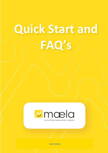# **Quick Start and FAQ's**



[www.maela.biz](http://www.maela.co.za/)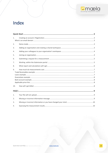# Index

| 1 <sub>1</sub> |  |
|----------------|--|
| 2.             |  |
| 3.             |  |
| 4.             |  |
| 5.             |  |
| 6.             |  |
| 7.             |  |
| 8.             |  |
| 9.             |  |
|                |  |
|                |  |
|                |  |
|                |  |
|                |  |
| 10.            |  |
|                |  |
| 1.             |  |
| 2.             |  |
| 3.             |  |
| 4.             |  |

www.maela.biz

**MMODIC**<br>accounting measurement experts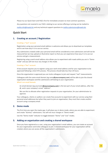

Please try our Quick Start and FAQ's first for immediate answers to most common questions. Any questions not covered in our FAQ's relating to our service offering or pricing can be mailed to <mailto:info@maela.biz> and any technical support questions to [mailto:submissions@maela.biz](mailto:service@maela.biz)

# <span id="page-2-0"></span>**Quick Start**

# <span id="page-2-1"></span>**1. Creating an account / Registration**

#### **Creating a "test" account**

Registration using your personal email address is welcome and allows you to download our templates and to see how easy it is to use our service.

Any submissions created under your personal email will be considered as test submissions and will not be measured but we may upload an illustrative report so that you can experience how easy it is to use our service and get a measurement.

Registering using a work email address also allows you to experiment with maela while you are in "Demo mode" and you will not incur any charges in this mode.

#### **Creating a "live" account**

A live account requires you to register using your work email address and for your organisation to be approved following a short KYC process. This process should take less than 24 hours.

Once the organisation is approved you can invite colleagues to join and request "real" measurements.

Colleagues with the same email domain (eg name**@yourcompany.com**) will be able to join the shared organisation workspace and the submissions will belong to your organisation.

#### <span id="page-2-2"></span>**What is an email domain**

An email domain (eg yourname**@yourcompany.com**) is the last part of your email address, after the @, and is your company's email "address".

We use this to allocate other registration requests to your organisation, for your administrator to approve.

Your colleagues, clients or auditors can create free accounts to experiment with our service using their personal email addresses but when they want to join an organisation, they must then create another account using a company email.

### <span id="page-2-3"></span>**2. Demo mode**

The first time you open the maela app, it will place you in demo mode, where you are able to experiment and create "dummy" submissions. You will not incur charges in "Demo mode".

Use the "Demo mode" indicator to toggle between "Demo" and "Live" modes.

#### <span id="page-2-4"></span>**3. Adding an organisation and creating a shared workspace**

Once you have registered as a user, using your organisation's email address, you can create an account for your organisation and invite colleagues to join. A shared workspace for your organisation will be created, where you can access all the organisation's submissions.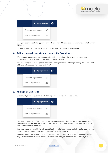

An organisation needs to be approved by maela.biz before it becomes active, which should take less than 24 hours.

Creating an organisation will allow you to submit a "live" request for a measurement.

#### <span id="page-3-0"></span>**4. Adding your colleagues to your organisation's workspace**

After creating your account and experimenting with our templates, the next step is to create an organisation or join an existing organisation's shared workspace.

To invite colleagues to your organisation's shared workspace ask them to register using their work email address and then select "Join an organisation".



#### <span id="page-3-1"></span>**5. Joining an organisation**

Once any of your colleagues has created an organisation you can request to join it.



The "Join an organisation" menu will show you any organisations that match your email domain (eg name**@yourcompany.com**). An email domain is the last part of your email address, after the @, and is your company's email "address".

Your organisation's administrator will be notified by email of your request and will need to approve your request before you get added to the organisation's shared workspace.

If nothing appears on the join list, your organisation may not have registered yet or your email address may not match the list of approved email domains supplied by your administrator. Contact your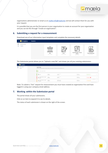

organisations administrator or email us on<mailto:info@maela.biz> and we will contact them for you with your request.

It is possible that you are the first person in your organisation to create an account for your organisation and you can do this through "Create an organisation".

# <span id="page-4-0"></span>**6. Submitting a request for a measurement**

Download one of our information input templates and complete the necessary details.

| × <b>M</b> mæla<br><b>Templates</b>         |                                           |                                                           |                                                                         |                                                  |
|---------------------------------------------|-------------------------------------------|-----------------------------------------------------------|-------------------------------------------------------------------------|--------------------------------------------------|
| P.<br>Submissions Portal<br>Templates<br>÷. | <del>.</del><br>Bank<br>Click to download | $\equiv$<br>——<br>$\odot$ M<br>Loans<br>Click to download | 喆<br><b>Trade Receivables - Express</b><br>Service<br>Click to download | <b>Financial Guarantees</b><br>Click to download |

The Submission portal allows you to "Upload a new file" and shows you all your existing submissions.

|         | × 2 mæla                        |                                                                                                                                           |                     |                                    |                           |                           |              |
|---------|---------------------------------|-------------------------------------------------------------------------------------------------------------------------------------------|---------------------|------------------------------------|---------------------------|---------------------------|--------------|
| ₩<br>÷. | Submissions Portal<br>Templates | User Portal<br>Submit your completed templates here. Monitor the status of each submission. The final report can be downloaded from here. |                     |                                    |                           |                           |              |
|         |                                 | Θ<br>Click to upload new file                                                                                                             |                     |                                    |                           |                           |              |
|         |                                 | $\mathbb{B}^{\prime}$ Loans                                                                                                               | Reference<br>MA0003 | Client Name or Code<br>DEF512      | Submit Date<br>03/31/2021 | Reports Avail - 1         | $\checkmark$ |
|         |                                 | Trade Receivables - Express<br>Service                                                                                                    | Reference<br>MA0002 | Client Name or Code<br>DEF512      | Submit Date<br>03/31/2021 | Missing Info <sup>0</sup> | $\sim$       |
|         |                                 | Trade Receivables - Express                                                                                                               | Reference<br>MA0001 | Client Name or Code<br>ABC Company | Submit Date<br>06/30/2021 | Validating <b>Q</b>       | $\checkmark$ |

Note: To submit a "live" request for measurement you must have created an organisation first and have logged in using your company email address.

### <span id="page-4-1"></span>**7. Working within the Submission portal**

The portal shows all your submissions.

Click on an item to expand it to see its details.

The status of each submission is shown on the right of the screen.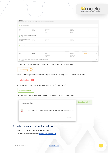|                                                                                                   |                                                                                   |                                                                                                                            |                                                             | <b>MITIQEIL</b><br>accounting measurement expert |                         |
|---------------------------------------------------------------------------------------------------|-----------------------------------------------------------------------------------|----------------------------------------------------------------------------------------------------------------------------|-------------------------------------------------------------|--------------------------------------------------|-------------------------|
| <b>User Portal</b><br>Θ<br>Click to upload new file                                               |                                                                                   | Submit your completed templates here. Monitor the status of each submission. The final report can be downloaded from here. |                                                             |                                                  |                         |
| $\mathbb{R}$ Loans                                                                                | Reference<br>MA0003                                                               | Client Name or Code<br>DEF512<br>Measurement Service<br>Express                                                            | Submit Date<br>03/31/2021<br>Measurement Date<br>03/31/2021 | Reports Avail - 1                                | A                       |
| Uploaded files<br>Loans - Input Template ver 1.3 - [DEF512].xlsx<br>i.<br><b>COL</b><br>145.27 kB |                                                                                   |                                                                                                                            |                                                             |                                                  |                         |
| Trade Receivables - Express<br>図<br>Service                                                       | Reference<br>MA0002                                                               | Client Name or Code<br><b>DEF512</b><br>Measurement Service<br>Express                                                     | Submit Date<br>03/31/2021<br>Measurement Date<br>03/31/2021 | Missing Info                                     | $\wedge$                |
| Click to upload new file<br>Θ                                                                     |                                                                                   |                                                                                                                            |                                                             |                                                  |                         |
| 27 Jun 2021 14:48 pm                                                                              |                                                                                   | The last month's information does not balance. Please update the information and replace the file you previously uploaded. |                                                             |                                                  |                         |
| Trade Receivables - Express<br>$\circledS$<br>Service                                             | Reference<br>MA0001                                                               | Client Name or Code<br>ABC Company<br>Measurement Service<br>Express                                                       | Submit Date<br>06/30/2021<br>Measurement Date<br>06/30/2021 | Validating <b>(</b>                              | $\widehat{\phantom{a}}$ |
| Uploaded files<br>i.<br>8949<br>60.37 kB                                                          | Trade receivables - Express Service - Input Template ver 1.0 - [ABC Company].xlsx |                                                                                                                            |                                                             |                                                  |                         |

 $\overline{\phantom{a}}$ 

Once you submit the measurement request its status changes to "Validating".



If there is missing information we will flag the status as "Missing info" and notify you by email.



When the report is complete the status changes to "Reports Avail".



Click on this button to show and download the reports and any supporting files.

| Download files                                          | Reports Avail - 1 |
|---------------------------------------------------------|-------------------|
| ECL Report - Client DEF512 - Loans - Job Ref MA0003.pdf |                   |
| CLOSE                                                   |                   |
|                                                         |                   |

# <span id="page-5-0"></span>**8. What report and calculations will I get**

A list of sample reports is listed on our website. For further questions contac[t mailto:info@maela.biz](mailto:info@maela.biz)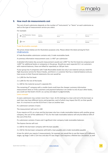# <span id="page-6-0"></span>**9. How much do measurements cost**

The cost of each submission depends on the number of "instruments" or "items" on each submission as well as the type of measurement service you select.

For example:

| Trade Receivables - Express<br>C<br>Service | Reference<br>MA0008 | Organisation Name<br>None | Files | Measurement Service<br>Express |
|---------------------------------------------|---------------------|---------------------------|-------|--------------------------------|
| $\sqrt{\frac{2}{5}}$ Loans                  | Reference<br>MA0003 | Organisation Name<br>None | Files | Measurement Service<br>Express |

#### <span id="page-6-1"></span>**Trade Receivables example**

The prices shown below are for illustration purposes only. Please obtain the latest pricing list from [info@maela.biz.](mailto:info@maela.biz)

A Trade Receivables submission contains only 1 trade receivables book.

A summary information measurement costs 1 x 495\* per submission

A detailed information (by account) measurement would cost 1,995\* for the first book (ie company) and 1,695\* for additional books or companies in the group. Should you want separate ECL's on customers with material balances, these are billed for separately as 100 per item.

If your group has 4 companies with Trade Receivables books but only 3 are material and you need the High Assurance service for these 3 books, and there is 1 customer that has a material balance and you have access to their financial statements the cost would be:

#### 1 x 1,995 for the first book

2 x 1,695 for the rest of the books

1 x 100 for the material account's separate ECL

The remaining 4<sup>th</sup> company with a smaller book could have the cheaper summary information measurement done or if the customers and payment behaviour are similar to one of your other books, you could use that book's ECL%'s as a proxy and adjust it judgementally.

#### <span id="page-6-2"></span>**Loans example**

A Loans submission may contain more than 1 loan. An ECL belongs to a loan and not to the borrower as each loan may have different terms and properties, each of which may impact the ECL on that specific loan. It is incorrect to use the ECL% from 1 loan on another loan.

If a submission contains 3 loans:

The measurement will cost 3 x 100

If you require an ECL on a loan and the borrower also has a trade receivables balance with another group company, the cost of the additional  $2^{nd}$  ECL for the trade receivables balance will only be billed at 50% of the cost of the first.

If a submission contains 3 loans and 2 significant inter-company trade receivables balances:

The Express Service will cost:

1 x 100 for the borrower company with the loan payable

2 x 150 for the borrower companies with both a loan payable and a trade receivables payable

A loan for which you require 3 measurements, for example you would like to see the impact of 2 different stages, eg Stage 1 with a 12m loss and also if it was Stage 2 and requires a lifetime loss calculation, as well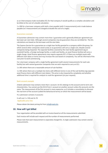as an intercompany trade receivables ECL for that company it would qualify as a complex calculation and be billed at the cost of a double calculation.

1 x 200 for a borrower company with both a loan payable (with 2 measurements) and a trade balance payable (ie 3 measurements are charged at double the cost of a single).

#### <span id="page-7-0"></span>**Guarantees example**

A Guarantee submission may contain more than 1 guarantee and is generally billed per agreement per borrower per start date. Although several companies may be guarantors they are not billed for. The ECL calculations are based on the borrower and the start date.

The Express Service for a guarantee on a single loan facility granted to a company within the group, for which several other companies stand surety or as guarantors will carry a single cost, despite several companies being impacted. The separate facilities covered by the main facility agreement (eg an overdraft facility, a foreign exchange facility, a credit card facility, an asset finance facility) will carry a single charge. Asset finance agreements may require separate ECL's if there are multiple assets with different start dates or terms and may increase the cost based on complexity. You will be informed of the cost prior to work commencing.

For a borrower company with a single facility agreement (with several measurements for each subfacility) but with several guarantor companies that are each required to carry an ECL:

1 x 395 where there are a reasonable amount of sub-facilities

1 x 595 where there are a multiple line items with different terms in one of the sub-facilities (eg separate asset finance items with different start dates). This price is also impacted by complexity and whether additional time is required for analysts to read the agreement (at your request).

#### <span id="page-7-1"></span>**Bank account example**

A Bank submission may contains more than 1 account. An ECL belongs to the account and its term and characteristics. You cannot use the ECL% from 1 account on another account unless the accounts are the same. The measurement of the first account is more expensive, as it includes a consultation to discover the real term of the account (called the behavioural terms) on which the measurement will be based.

If a submission contains 3 accounts:

<span id="page-7-2"></span>It will cost 1 x 150 and 2x 70 **Applicable price lists**

Please obtain the latest pricing list from [info@maela.biz.](mailto:info@maela.biz)

#### <span id="page-7-3"></span>**10. How will I get billed**

Your organisation will be provided with an invoice based on all the measurements submitted.

Each invoice will include each request and the number of measurements performed.

Please note that each measurement is separately charged for. A single submission may contain several measurements.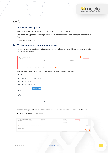

# <span id="page-8-0"></span>**FAQ's**

# <span id="page-8-1"></span>**1. Your file will not upload**

The system checks to make sure that the same file is not uploaded twice.

Rename your file, possibly by adding a company / client code or name and/or the year-end date to the file.

Upload the renamed file.

# <span id="page-8-2"></span>**2. Missing or incorrect information message**

If there is any missing or incorrect information on your submission, we will flag the status as "Missing Info" and provide details.

| Trade Receivables - Express<br>Service                                                                                                                             | Reference<br>MA0002 | Client Name or Code<br><b>DEF512</b> |  | Submit Date<br>03/31/2021      |  | Missing Info <b>Q</b> | $\wedge$ |
|--------------------------------------------------------------------------------------------------------------------------------------------------------------------|---------------------|--------------------------------------|--|--------------------------------|--|-----------------------|----------|
|                                                                                                                                                                    |                     | Measurement Service<br>Express       |  | Measurement Date<br>03/31/2021 |  |                       |          |
| Click to upload new file                                                                                                                                           |                     |                                      |  |                                |  |                       |          |
| 27 Jun 2021 14:48 pm<br>The last month's information does not balance. Please update the information and replace the file you previously uploaded.<br>$\mathbf{r}$ |                     |                                      |  |                                |  |                       |          |

You will receive an email notification which provides your submission reference.

#### Hello!

The status of your submission has changed.

Submission reference: MA0002

Status: MISSING INFORMATION

|                                      | <b>View Submission</b> |  |
|--------------------------------------|------------------------|--|
| Thank you for using our application! |                        |  |
| Regards,<br>Maela                    |                        |  |

If you're having trouble clicking the "View Submission" button, copy and paste the URL below into your web browser: https://app.maela.biz/evaluations

After correcting the information on your submission template file resubmit the updated file by:

• Delete the previously uploaded file

| Trade Receivables - Express<br>Service                                                                                         | Reference<br>MA0002 | Client Name or Code<br><b>DEF512</b> |  | Submit Date<br>03/31/2021      | Missing Info <b>O</b> | $\hat{\phantom{a}}$ |
|--------------------------------------------------------------------------------------------------------------------------------|---------------------|--------------------------------------|--|--------------------------------|-----------------------|---------------------|
|                                                                                                                                |                     | Measurement Service<br>Express       |  | Measurement Date<br>03/31/2021 |                       |                     |
| Uploaded files<br>Trade receivables - Express Service - Input Template ver 1.0 - [DEF512].xlsx<br>E<br><b>TIME</b><br>60.37 kB |                     |                                      |  |                                |                       |                     |
| 27 Jun 2021 14:48 pm                                                                                                           |                     |                                      |  |                                |                       |                     |
| The last month's information does not balance. Please update the information and replace the file you previously uploaded.     |                     |                                      |  |                                |                       |                     |